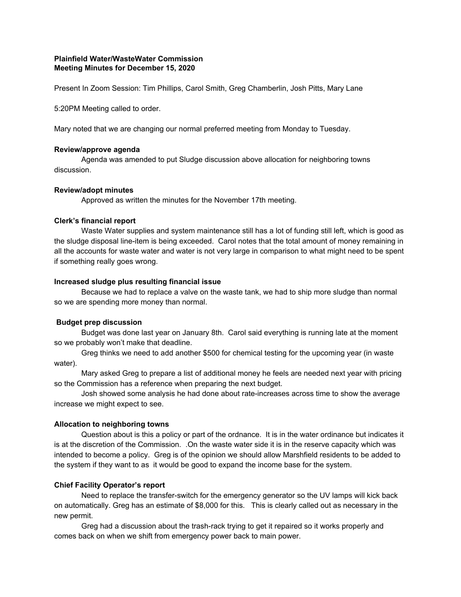# **Plainfield Water/WasteWater Commission Meeting Minutes for December 15, 2020**

Present In Zoom Session: Tim Phillips, Carol Smith, Greg Chamberlin, Josh Pitts, Mary Lane

5:20PM Meeting called to order.

Mary noted that we are changing our normal preferred meeting from Monday to Tuesday.

#### **Review/approve agenda**

Agenda was amended to put Sludge discussion above allocation for neighboring towns discussion.

#### **Review/adopt minutes**

Approved as written the minutes for the November 17th meeting.

#### **Clerk's financial report**

Waste Water supplies and system maintenance still has a lot of funding still left, which is good as the sludge disposal line-item is being exceeded. Carol notes that the total amount of money remaining in all the accounts for waste water and water is not very large in comparison to what might need to be spent if something really goes wrong.

## **Increased sludge plus resulting financial issue**

Because we had to replace a valve on the waste tank, we had to ship more sludge than normal so we are spending more money than normal.

## **Budget prep discussion**

Budget was done last year on January 8th. Carol said everything is running late at the moment so we probably won't make that deadline.

Greg thinks we need to add another \$500 for chemical testing for the upcoming year (in waste water).

Mary asked Greg to prepare a list of additional money he feels are needed next year with pricing so the Commission has a reference when preparing the next budget.

Josh showed some analysis he had done about rate-increases across time to show the average increase we might expect to see.

#### **Allocation to neighboring towns**

Question about is this a policy or part of the ordnance. It is in the water ordinance but indicates it is at the discretion of the Commission. .On the waste water side it is in the reserve capacity which was intended to become a policy. Greg is of the opinion we should allow Marshfield residents to be added to the system if they want to as it would be good to expand the income base for the system.

## **Chief Facility Operator's report**

Need to replace the transfer-switch for the emergency generator so the UV lamps will kick back on automatically. Greg has an estimate of \$8,000 for this. This is clearly called out as necessary in the new permit.

Greg had a discussion about the trash-rack trying to get it repaired so it works properly and comes back on when we shift from emergency power back to main power.